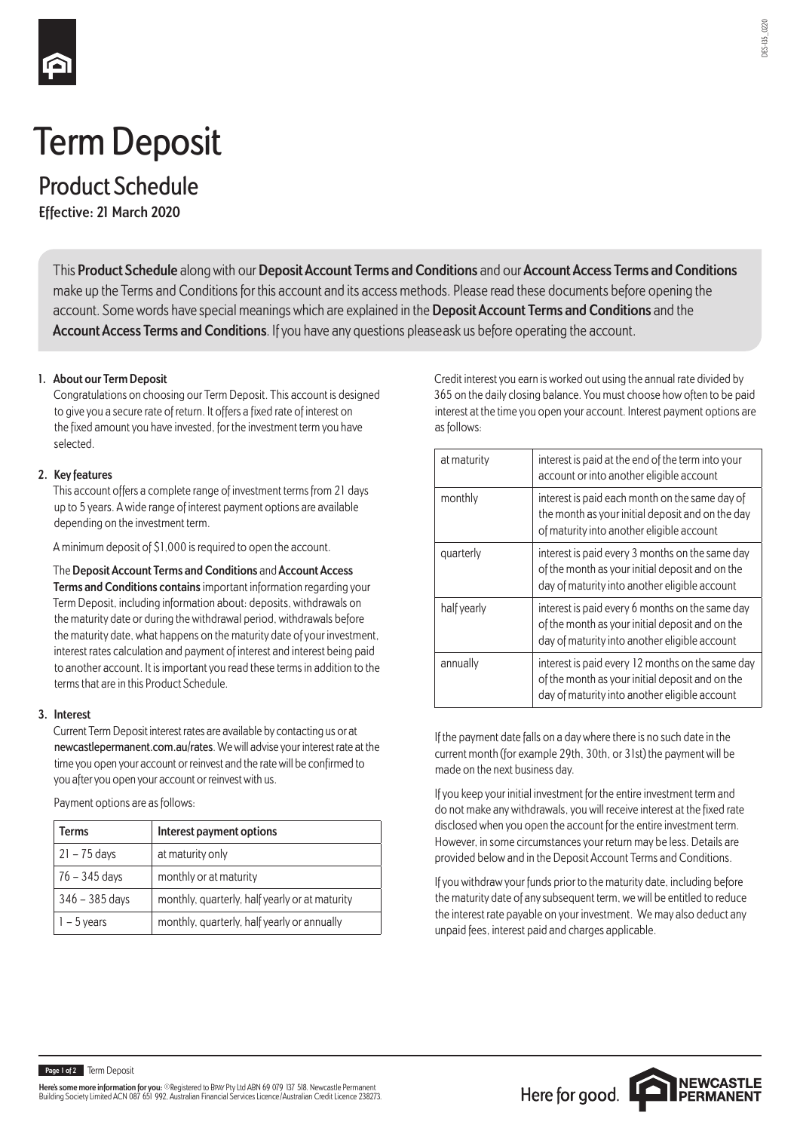

# Term Deposit

Product Schedule

**Effective: 21 March 2020**

This **Product Schedule** along with our **Deposit Account Terms and Conditions** and our **Account Access Terms and Conditions** make up the Terms and Conditions for this account and its access methods. Please read these documents before opening the account. Some words have special meanings which are explained in the **Deposit Account Terms and Conditions** and the **Account Access Terms and Conditions**. If you have any questions please ask us before operating the account.

## **1. About our Term Deposit**

Congratulations on choosing our Term Deposit. This account is designed to give you a secure rate of return. It offers a fixed rate of interest on the fixed amount you have invested, for the investment term you have selected.

## **2. Key features**

This account offers a complete range of investment terms from 21 days up to 5 years. A wide range of interest payment options are available depending on the investment term.

A minimum deposit of \$1,000 is required to open the account.

The **Deposit Account Terms and Conditions** and **Account Access Terms and Conditions contains** important information regarding your Term Deposit, including information about: deposits, withdrawals on the maturity date or during the withdrawal period, withdrawals before the maturity date, what happens on the maturity date of your investment, interest rates calculation and payment of interest and interest being paid to another account. It is important you read these terms in addition to the terms that are in this Product Schedule.

#### **3. Interest**

Current Term Deposit interest rates are available by contacting us or at newcastlepermanent.com.au/rates. We will advise your interest rate at the time you open your account or reinvest and the rate will be confirmed to you after you open your account or reinvest with us.

Payment options are as follows:

| Terms            | Interest payment options                       |  |
|------------------|------------------------------------------------|--|
| $21 - 75$ days   | at maturity only                               |  |
| 76 - 345 days    | monthly or at maturity                         |  |
| $346 - 385$ days | monthly, quarterly, half yearly or at maturity |  |
| $1 - 5$ years    | monthly, quarterly, half yearly or annually    |  |

Credit interest you earn is worked out using the annual rate divided by 365 on the daily closing balance. You must choose how often to be paid interest at the time you open your account. Interest payment options are as follows:

| at maturity | interest is paid at the end of the term into your<br>account or into another eligible account                                                        |
|-------------|------------------------------------------------------------------------------------------------------------------------------------------------------|
| monthly     | interest is paid each month on the same day of<br>the month as your initial deposit and on the day<br>of maturity into another eligible account      |
| quarterly   | interest is paid every 3 months on the same day<br>of the month as your initial deposit and on the<br>day of maturity into another eligible account  |
| half yearly | interest is paid every 6 months on the same day<br>of the month as your initial deposit and on the<br>day of maturity into another eligible account  |
| annually    | interest is paid every 12 months on the same day<br>of the month as your initial deposit and on the<br>day of maturity into another eligible account |

If the payment date falls on a day where there is no such date in the current month (for example 29th, 30th, or 31st) the payment will be made on the next business day.

If you keep your initial investment for the entire investment term and do not make any withdrawals, you will receive interest at the fixed rate disclosed when you open the account for the entire investment term. However, in some circumstances your return may be less. Details are provided below and in the Deposit Account Terms and Conditions.

If you withdraw your funds prior to the maturity date, including before the maturity date of any subsequent term, we will be entitled to reduce the interest rate payable on your investment. We may also deduct any unpaid fees, interest paid and charges applicable.

DES-135\_0220

DES-185 0220